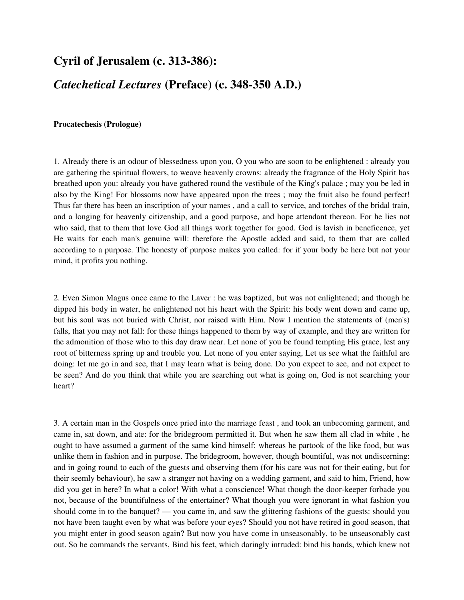## **Cyril of Jerusalem (c. 313-386):**

## *Catechetical Lectures* **(Preface) (c. 348-350 A.D.)**

## **Procatechesis (Prologue)**

1. Already there is an odour of blessedness upon you, O you who are soon to be enlightened : already you are gathering the spiritual flowers, to weave heavenly crowns: already the fragrance of the Holy Spirit has breathed upon you: already you have gathered round the vestibule of the King's palace ; may you be led in also by the King! For blossoms now have appeared upon the trees ; may the fruit also be found perfect! Thus far there has been an inscription of your names , and a call to service, and torches of the bridal train, and a longing for heavenly citizenship, and a good purpose, and hope attendant thereon. For he lies not who said, that to them that love God all things work together for good. God is lavish in beneficence, yet He waits for each man's genuine will: therefore the Apostle added and said, to them that are called according to a purpose. The honesty of purpose makes you called: for if your body be here but not your mind, it profits you nothing.

2. Even Simon Magus once came to the Laver : he was baptized, but was not enlightened; and though he dipped his body in water, he enlightened not his heart with the Spirit: his body went down and came up, but his soul was not buried with Christ, nor raised with Him. Now I mention the statements of (men's) falls, that you may not fall: for these things happened to them by way of example, and they are written for the admonition of those who to this day draw near. Let none of you be found tempting His grace, lest any root of bitterness spring up and trouble you. Let none of you enter saying, Let us see what the faithful are doing: let me go in and see, that I may learn what is being done. Do you expect to see, and not expect to be seen? And do you think that while you are searching out what is going on, God is not searching your heart?

3. A certain man in the Gospels once pried into the marriage feast , and took an unbecoming garment, and came in, sat down, and ate: for the bridegroom permitted it. But when he saw them all clad in white , he ought to have assumed a garment of the same kind himself: whereas he partook of the like food, but was unlike them in fashion and in purpose. The bridegroom, however, though bountiful, was not undiscerning: and in going round to each of the guests and observing them (for his care was not for their eating, but for their seemly behaviour), he saw a stranger not having on a wedding garment, and said to him, Friend, how did you get in here? In what a color! With what a conscience! What though the door-keeper forbade you not, because of the bountifulness of the entertainer? What though you were ignorant in what fashion you should come in to the banquet? — you came in, and saw the glittering fashions of the guests: should you not have been taught even by what was before your eyes? Should you not have retired in good season, that you might enter in good season again? But now you have come in unseasonably, to be unseasonably cast out. So he commands the servants, Bind his feet, which daringly intruded: bind his hands, which knew not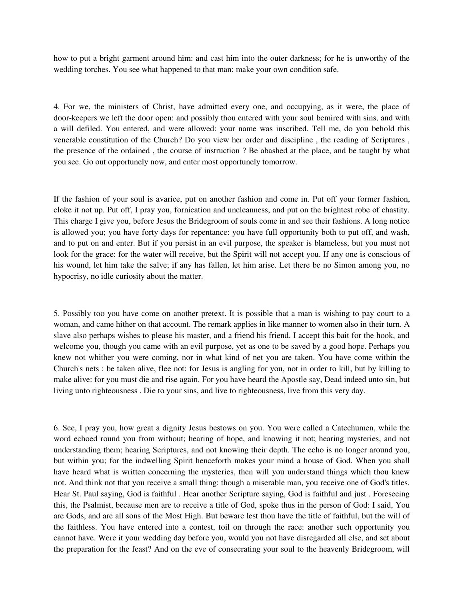how to put a bright garment around him: and cast him into the outer darkness; for he is unworthy of the wedding torches. You see what happened to that man: make your own condition safe.

4. For we, the ministers of Christ, have admitted every one, and occupying, as it were, the place of door-keepers we left the door open: and possibly thou entered with your soul bemired with sins, and with a will defiled. You entered, and were allowed: your name was inscribed. Tell me, do you behold this venerable constitution of the Church? Do you view her order and discipline , the reading of Scriptures , the presence of the ordained , the course of instruction ? Be abashed at the place, and be taught by what you see. Go out opportunely now, and enter most opportunely tomorrow.

If the fashion of your soul is avarice, put on another fashion and come in. Put off your former fashion, cloke it not up. Put off, I pray you, fornication and uncleanness, and put on the brightest robe of chastity. This charge I give you, before Jesus the Bridegroom of souls come in and see their fashions. A long notice is allowed you; you have forty days for repentance: you have full opportunity both to put off, and wash, and to put on and enter. But if you persist in an evil purpose, the speaker is blameless, but you must not look for the grace: for the water will receive, but the Spirit will not accept you. If any one is conscious of his wound, let him take the salve; if any has fallen, let him arise. Let there be no Simon among you, no hypocrisy, no idle curiosity about the matter.

5. Possibly too you have come on another pretext. It is possible that a man is wishing to pay court to a woman, and came hither on that account. The remark applies in like manner to women also in their turn. A slave also perhaps wishes to please his master, and a friend his friend. I accept this bait for the hook, and welcome you, though you came with an evil purpose, yet as one to be saved by a good hope. Perhaps you knew not whither you were coming, nor in what kind of net you are taken. You have come within the Church's nets : be taken alive, flee not: for Jesus is angling for you, not in order to kill, but by killing to make alive: for you must die and rise again. For you have heard the Apostle say, Dead indeed unto sin, but living unto righteousness . Die to your sins, and live to righteousness, live from this very day.

6. See, I pray you, how great a dignity Jesus bestows on you. You were called a Catechumen, while the word echoed round you from without; hearing of hope, and knowing it not; hearing mysteries, and not understanding them; hearing Scriptures, and not knowing their depth. The echo is no longer around you, but within you; for the indwelling Spirit henceforth makes your mind a house of God. When you shall have heard what is written concerning the mysteries, then will you understand things which thou knew not. And think not that you receive a small thing: though a miserable man, you receive one of God's titles. Hear St. Paul saying, God is faithful . Hear another Scripture saying, God is faithful and just . Foreseeing this, the Psalmist, because men are to receive a title of God, spoke thus in the person of God: I said, You are Gods, and are all sons of the Most High. But beware lest thou have the title of faithful, but the will of the faithless. You have entered into a contest, toil on through the race: another such opportunity you cannot have. Were it your wedding day before you, would you not have disregarded all else, and set about the preparation for the feast? And on the eve of consecrating your soul to the heavenly Bridegroom, will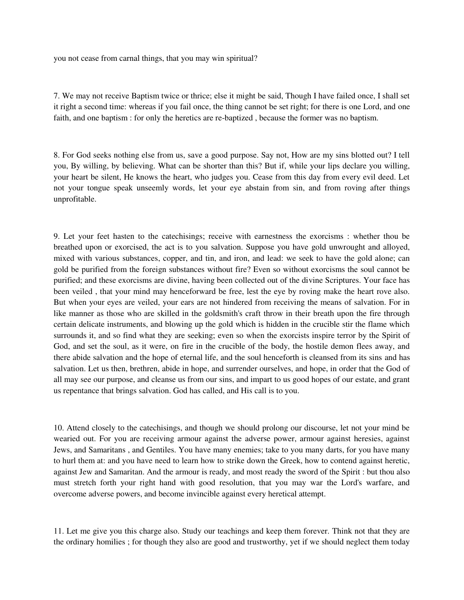you not cease from carnal things, that you may win spiritual?

7. We may not receive Baptism twice or thrice; else it might be said, Though I have failed once, I shall set it right a second time: whereas if you fail once, the thing cannot be set right; for there is one Lord, and one faith, and one baptism : for only the heretics are re-baptized , because the former was no baptism.

8. For God seeks nothing else from us, save a good purpose. Say not, How are my sins blotted out? I tell you, By willing, by believing. What can be shorter than this? But if, while your lips declare you willing, your heart be silent, He knows the heart, who judges you. Cease from this day from every evil deed. Let not your tongue speak unseemly words, let your eye abstain from sin, and from roving after things unprofitable.

9. Let your feet hasten to the catechisings; receive with earnestness the exorcisms : whether thou be breathed upon or exorcised, the act is to you salvation. Suppose you have gold unwrought and alloyed, mixed with various substances, copper, and tin, and iron, and lead: we seek to have the gold alone; can gold be purified from the foreign substances without fire? Even so without exorcisms the soul cannot be purified; and these exorcisms are divine, having been collected out of the divine Scriptures. Your face has been veiled , that your mind may henceforward be free, lest the eye by roving make the heart rove also. But when your eyes are veiled, your ears are not hindered from receiving the means of salvation. For in like manner as those who are skilled in the goldsmith's craft throw in their breath upon the fire through certain delicate instruments, and blowing up the gold which is hidden in the crucible stir the flame which surrounds it, and so find what they are seeking; even so when the exorcists inspire terror by the Spirit of God, and set the soul, as it were, on fire in the crucible of the body, the hostile demon flees away, and there abide salvation and the hope of eternal life, and the soul henceforth is cleansed from its sins and has salvation. Let us then, brethren, abide in hope, and surrender ourselves, and hope, in order that the God of all may see our purpose, and cleanse us from our sins, and impart to us good hopes of our estate, and grant us repentance that brings salvation. God has called, and His call is to you.

10. Attend closely to the catechisings, and though we should prolong our discourse, let not your mind be wearied out. For you are receiving armour against the adverse power, armour against heresies, against Jews, and Samaritans , and Gentiles. You have many enemies; take to you many darts, for you have many to hurl them at: and you have need to learn how to strike down the Greek, how to contend against heretic, against Jew and Samaritan. And the armour is ready, and most ready the sword of the Spirit : but thou also must stretch forth your right hand with good resolution, that you may war the Lord's warfare, and overcome adverse powers, and become invincible against every heretical attempt.

11. Let me give you this charge also. Study our teachings and keep them forever. Think not that they are the ordinary homilies ; for though they also are good and trustworthy, yet if we should neglect them today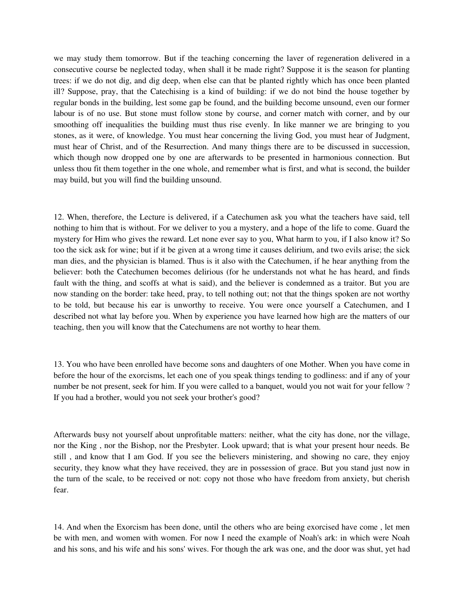we may study them tomorrow. But if the teaching concerning the laver of regeneration delivered in a consecutive course be neglected today, when shall it be made right? Suppose it is the season for planting trees: if we do not dig, and dig deep, when else can that be planted rightly which has once been planted ill? Suppose, pray, that the Catechising is a kind of building: if we do not bind the house together by regular bonds in the building, lest some gap be found, and the building become unsound, even our former labour is of no use. But stone must follow stone by course, and corner match with corner, and by our smoothing off inequalities the building must thus rise evenly. In like manner we are bringing to you stones, as it were, of knowledge. You must hear concerning the living God, you must hear of Judgment, must hear of Christ, and of the Resurrection. And many things there are to be discussed in succession, which though now dropped one by one are afterwards to be presented in harmonious connection. But unless thou fit them together in the one whole, and remember what is first, and what is second, the builder may build, but you will find the building unsound.

12. When, therefore, the Lecture is delivered, if a Catechumen ask you what the teachers have said, tell nothing to him that is without. For we deliver to you a mystery, and a hope of the life to come. Guard the mystery for Him who gives the reward. Let none ever say to you, What harm to you, if I also know it? So too the sick ask for wine; but if it be given at a wrong time it causes delirium, and two evils arise; the sick man dies, and the physician is blamed. Thus is it also with the Catechumen, if he hear anything from the believer: both the Catechumen becomes delirious (for he understands not what he has heard, and finds fault with the thing, and scoffs at what is said), and the believer is condemned as a traitor. But you are now standing on the border: take heed, pray, to tell nothing out; not that the things spoken are not worthy to be told, but because his ear is unworthy to receive. You were once yourself a Catechumen, and I described not what lay before you. When by experience you have learned how high are the matters of our teaching, then you will know that the Catechumens are not worthy to hear them.

13. You who have been enrolled have become sons and daughters of one Mother. When you have come in before the hour of the exorcisms, let each one of you speak things tending to godliness: and if any of your number be not present, seek for him. If you were called to a banquet, would you not wait for your fellow ? If you had a brother, would you not seek your brother's good?

Afterwards busy not yourself about unprofitable matters: neither, what the city has done, nor the village, nor the King , nor the Bishop, nor the Presbyter. Look upward; that is what your present hour needs. Be still , and know that I am God. If you see the believers ministering, and showing no care, they enjoy security, they know what they have received, they are in possession of grace. But you stand just now in the turn of the scale, to be received or not: copy not those who have freedom from anxiety, but cherish fear.

14. And when the Exorcism has been done, until the others who are being exorcised have come , let men be with men, and women with women. For now I need the example of Noah's ark: in which were Noah and his sons, and his wife and his sons' wives. For though the ark was one, and the door was shut, yet had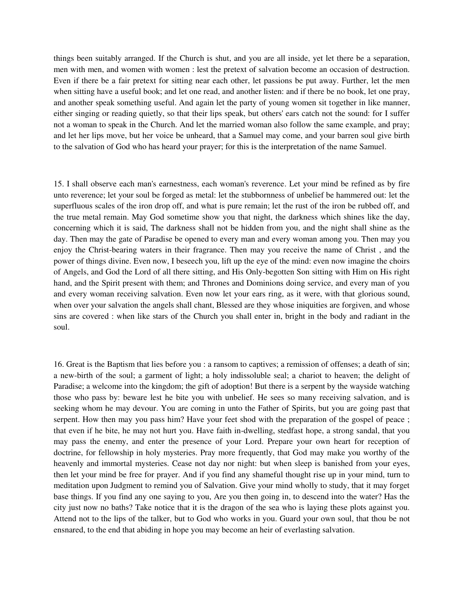things been suitably arranged. If the Church is shut, and you are all inside, yet let there be a separation, men with men, and women with women : lest the pretext of salvation become an occasion of destruction. Even if there be a fair pretext for sitting near each other, let passions be put away. Further, let the men when sitting have a useful book; and let one read, and another listen: and if there be no book, let one pray, and another speak something useful. And again let the party of young women sit together in like manner, either singing or reading quietly, so that their lips speak, but others' ears catch not the sound: for I suffer not a woman to speak in the Church. And let the married woman also follow the same example, and pray; and let her lips move, but her voice be unheard, that a Samuel may come, and your barren soul give birth to the salvation of God who has heard your prayer; for this is the interpretation of the name Samuel.

15. I shall observe each man's earnestness, each woman's reverence. Let your mind be refined as by fire unto reverence; let your soul be forged as metal: let the stubbornness of unbelief be hammered out: let the superfluous scales of the iron drop off, and what is pure remain; let the rust of the iron be rubbed off, and the true metal remain. May God sometime show you that night, the darkness which shines like the day, concerning which it is said, The darkness shall not be hidden from you, and the night shall shine as the day. Then may the gate of Paradise be opened to every man and every woman among you. Then may you enjoy the Christ-bearing waters in their fragrance. Then may you receive the name of Christ , and the power of things divine. Even now, I beseech you, lift up the eye of the mind: even now imagine the choirs of Angels, and God the Lord of all there sitting, and His Only-begotten Son sitting with Him on His right hand, and the Spirit present with them; and Thrones and Dominions doing service, and every man of you and every woman receiving salvation. Even now let your ears ring, as it were, with that glorious sound, when over your salvation the angels shall chant, Blessed are they whose iniquities are forgiven, and whose sins are covered : when like stars of the Church you shall enter in, bright in the body and radiant in the soul.

16. Great is the Baptism that lies before you : a ransom to captives; a remission of offenses; a death of sin; a new-birth of the soul; a garment of light; a holy indissoluble seal; a chariot to heaven; the delight of Paradise; a welcome into the kingdom; the gift of adoption! But there is a serpent by the wayside watching those who pass by: beware lest he bite you with unbelief. He sees so many receiving salvation, and is seeking whom he may devour. You are coming in unto the Father of Spirits, but you are going past that serpent. How then may you pass him? Have your feet shod with the preparation of the gospel of peace ; that even if he bite, he may not hurt you. Have faith in-dwelling, stedfast hope, a strong sandal, that you may pass the enemy, and enter the presence of your Lord. Prepare your own heart for reception of doctrine, for fellowship in holy mysteries. Pray more frequently, that God may make you worthy of the heavenly and immortal mysteries. Cease not day nor night: but when sleep is banished from your eyes, then let your mind be free for prayer. And if you find any shameful thought rise up in your mind, turn to meditation upon Judgment to remind you of Salvation. Give your mind wholly to study, that it may forget base things. If you find any one saying to you, Are you then going in, to descend into the water? Has the city just now no baths? Take notice that it is the dragon of the sea who is laying these plots against you. Attend not to the lips of the talker, but to God who works in you. Guard your own soul, that thou be not ensnared, to the end that abiding in hope you may become an heir of everlasting salvation.